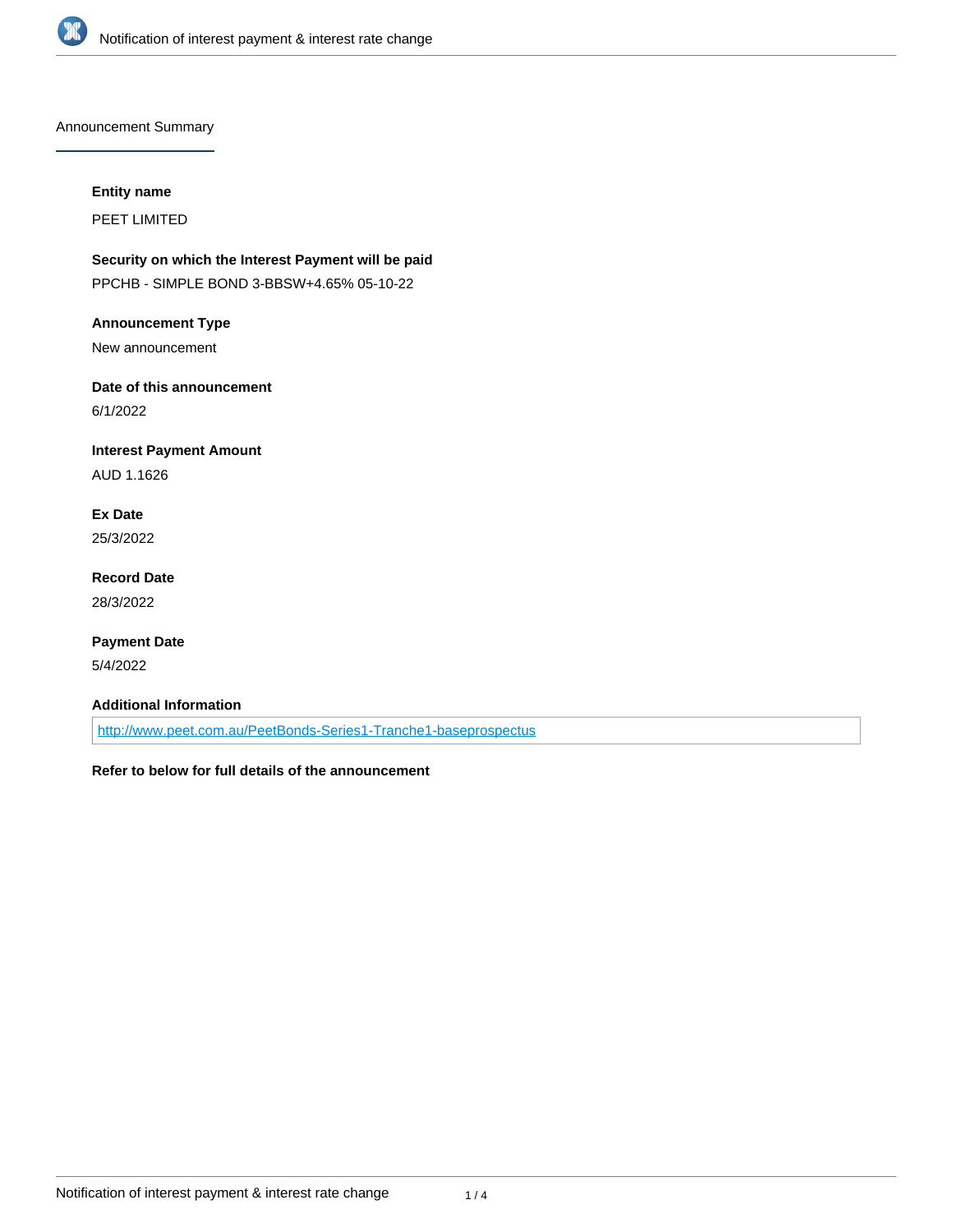

Announcement Summary

#### **Entity name**

PEET LIMITED

# **Security on which the Interest Payment will be paid**

PPCHB - SIMPLE BOND 3-BBSW+4.65% 05-10-22

#### **Announcement Type**

New announcement

# **Date of this announcement**

6/1/2022

## **Interest Payment Amount**

AUD 1.1626

# **Ex Date**

25/3/2022

### **Record Date** 28/3/2022

## **Payment Date**

5/4/2022

## **Additional Information**

<http://www.peet.com.au/PeetBonds-Series1-Tranche1-baseprospectus>

## **Refer to below for full details of the announcement**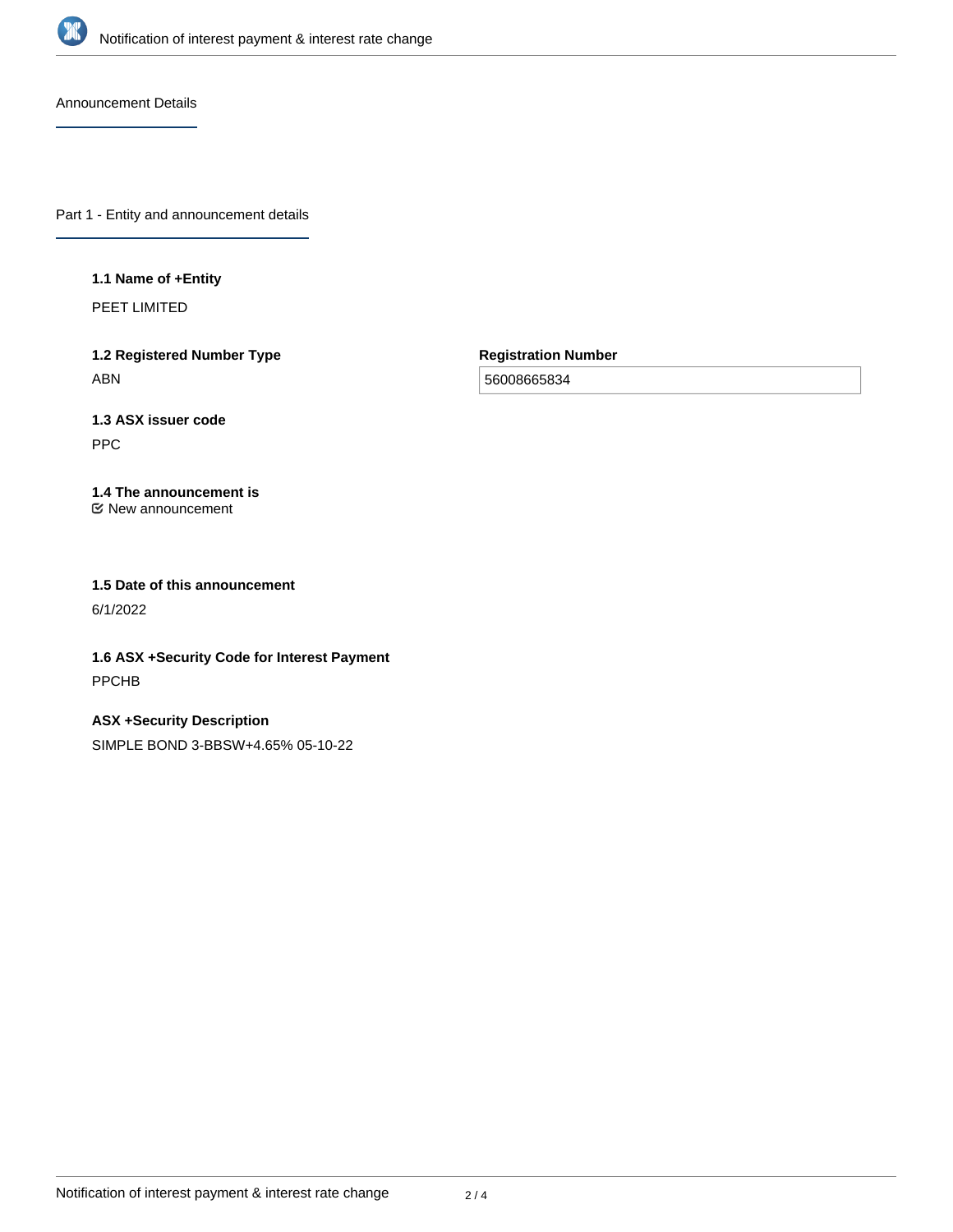

Announcement Details

Part 1 - Entity and announcement details

#### **1.1 Name of +Entity**

PEET LIMITED

**1.2 Registered Number Type** ABN

**Registration Number**

56008665834

# **1.3 ASX issuer code**

PPC

#### **1.4 The announcement is** New announcement

**1.5 Date of this announcement**

6/1/2022

**1.6 ASX +Security Code for Interest Payment** PPCHB

**ASX +Security Description** SIMPLE BOND 3-BBSW+4.65% 05-10-22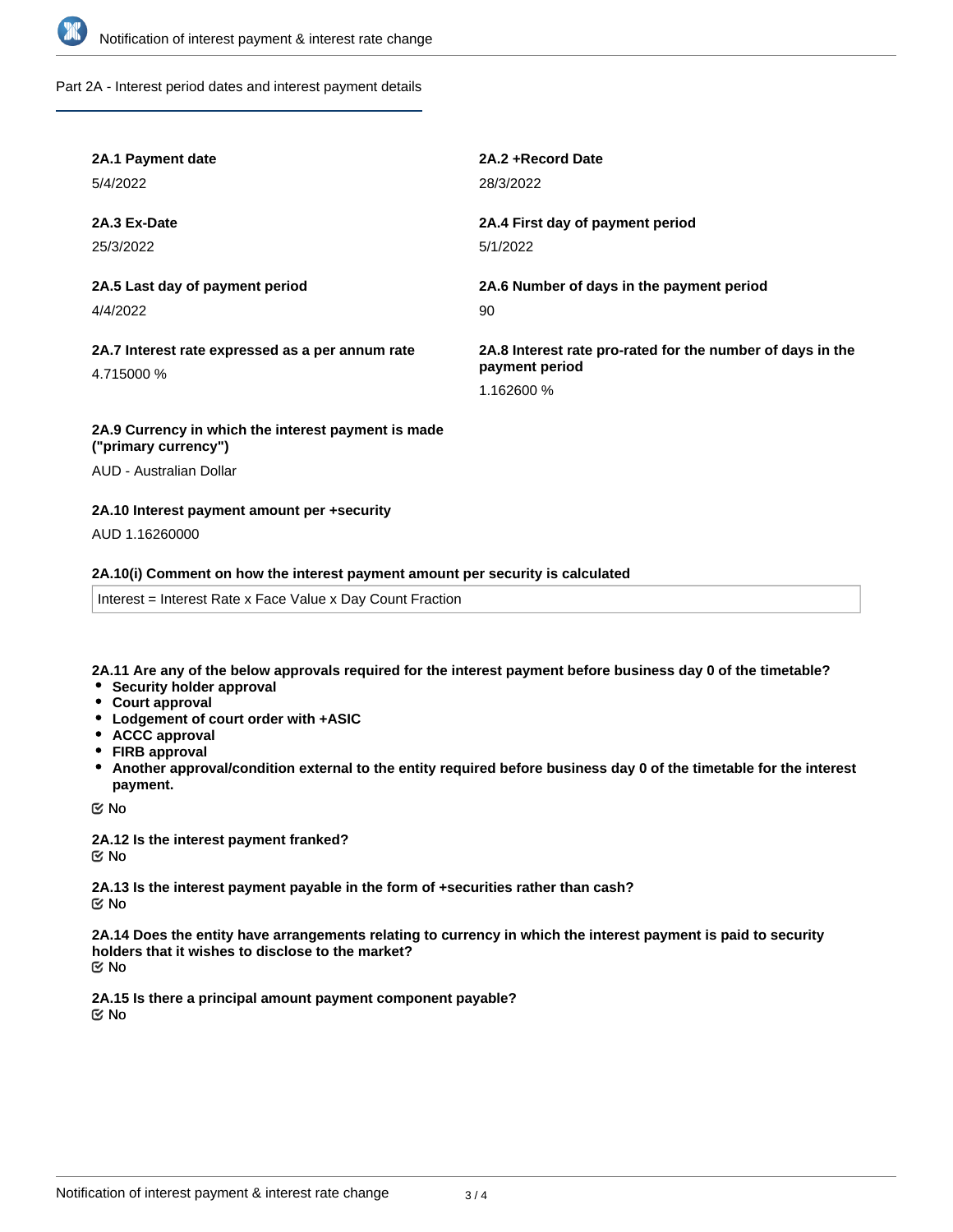

Part 2A - Interest period dates and interest payment details

| 2A.1 Payment date                                                           | 2A.2+Record Date                                                                           |
|-----------------------------------------------------------------------------|--------------------------------------------------------------------------------------------|
| 5/4/2022                                                                    | 28/3/2022                                                                                  |
| 2A.3 Ex-Date                                                                | 2A.4 First day of payment period                                                           |
| 25/3/2022                                                                   | 5/1/2022                                                                                   |
| 2A.5 Last day of payment period                                             | 2A.6 Number of days in the payment period                                                  |
| 4/4/2022                                                                    | 90                                                                                         |
| 2A.7 Interest rate expressed as a per annum rate<br>4.715000 %              | 2A.8 Interest rate pro-rated for the number of days in the<br>payment period<br>1.162600 % |
| 2A.9 Currency in which the interest payment is made<br>("primary currency") |                                                                                            |

AUD - Australian Dollar

#### **2A.10 Interest payment amount per +security**

AUD 1.16260000

#### **2A.10(i) Comment on how the interest payment amount per security is calculated**

Interest = Interest Rate x Face Value x Day Count Fraction

**2A.11 Are any of the below approvals required for the interest payment before business day 0 of the timetable?**

- **•** Security holder approval
- **Court approval**
- **Lodgement of court order with +ASIC**
- **ACCC approval**
- **FIRB approval**
- **Another approval/condition external to the entity required before business day 0 of the timetable for the interest payment.**

No

**2A.12 Is the interest payment franked?** No

**2A.13 Is the interest payment payable in the form of +securities rather than cash?** No

**2A.14 Does the entity have arrangements relating to currency in which the interest payment is paid to security holders that it wishes to disclose to the market?** No

**2A.15 Is there a principal amount payment component payable?** No